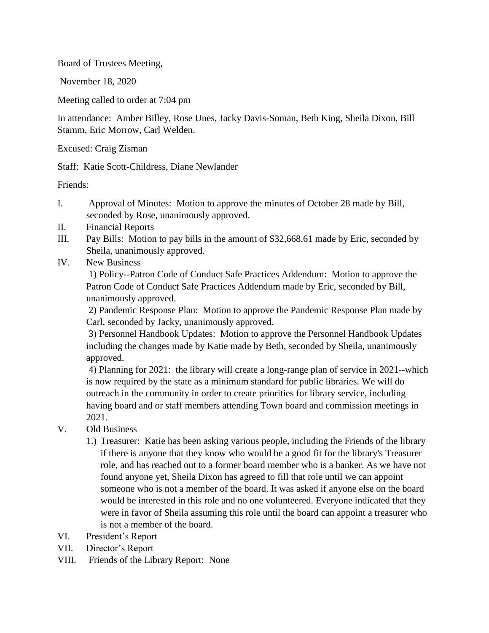Board of Trustees Meeting,

November 18, 2020

Meeting called to order at 7:04 pm

In attendance: Amber Billey, Rose Unes, Jacky Davis-Soman, Beth King, Sheila Dixon, Bill Stamm, Eric Morrow, Carl Welden.

Excused: Craig Zisman

Staff: Katie Scott-Childress, Diane Newlander

Friends:

- I. Approval of Minutes: Motion to approve the minutes of October 28 made by Bill, seconded by Rose, unanimously approved.
- II. Financial Reports
- III. Pay Bills: Motion to pay bills in the amount of \$32,668.61 made by Eric, seconded by Sheila, unanimously approved.
- IV. New Business

1) Policy--Patron Code of Conduct Safe Practices Addendum: Motion to approve the Patron Code of Conduct Safe Practices Addendum made by Eric, seconded by Bill, unanimously approved.

2) Pandemic Response Plan: Motion to approve the Pandemic Response Plan made by Carl, seconded by Jacky, unanimously approved.

3) Personnel Handbook Updates: Motion to approve the Personnel Handbook Updates including the changes made by Katie made by Beth, seconded by Sheila, unanimously approved.

4) Planning for 2021: the library will create a long-range plan of service in 2021--which is now required by the state as a minimum standard for public libraries. We will do outreach in the community in order to create priorities for library service, including having board and or staff members attending Town board and commission meetings in 2021.

- V. Old Business
	- 1.) Treasurer: Katie has been asking various people, including the Friends of the library if there is anyone that they know who would be a good fit for the library's Treasurer role, and has reached out to a former board member who is a banker. As we have not found anyone yet, Sheila Dixon has agreed to fill that role until we can appoint someone who is not a member of the board. It was asked if anyone else on the board would be interested in this role and no one volunteered. Everyone indicated that they were in favor of Sheila assuming this role until the board can appoint a treasurer who is not a member of the board.
- VI. President's Report
- VII. Director's Report
- VIII. Friends of the Library Report: None